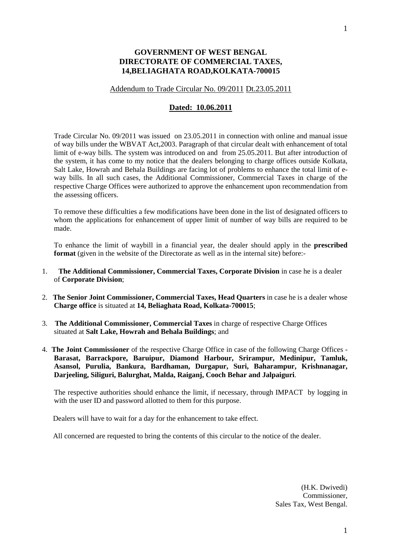## **GOVERNMENT OF WEST BENGAL DIRECTORATE OF COMMERCIAL TAXES, 14,BELIAGHATA ROAD,KOLKATA-700015**

## Addendum to Trade Circular No. 09/2011 Dt.23.05.2011

## **Dated: 10.06.2011**

Trade Circular No. 09/2011 was issued on 23.05.2011 in connection with online and manual issue of way bills under the WBVAT Act,2003. Paragraph of that circular dealt with enhancement of total limit of e-way bills. The system was introduced on and from 25.05.2011. But after introduction of the system, it has come to my notice that the dealers belonging to charge offices outside Kolkata, Salt Lake, Howrah and Behala Buildings are facing lot of problems to enhance the total limit of eway bills. In all such cases, the Additional Commissioner, Commercial Taxes in charge of the respective Charge Offices were authorized to approve the enhancement upon recommendation from the assessing officers.

To remove these difficulties a few modifications have been done in the list of designated officers to whom the applications for enhancement of upper limit of number of way bills are required to be made.

To enhance the limit of waybill in a financial year, the dealer should apply in the **prescribed format** (given in the website of the Directorate as well as in the internal site) before:-

- 1. **The Additional Commissioner, Commercial Taxes, Corporate Division** in case he is a dealer of **Corporate Division**;
- 2. **The Senior Joint Commissioner, Commercial Taxes, Head Quarters** in case he is a dealer whose **Charge office** is situated at **14, Beliaghata Road, Kolkata-700015**;
- 3. **The Additional Commissioner, Commercial Taxes** in charge of respective Charge Offices situated at **Salt Lake, Howrah and Behala Buildings**; and
- 4. **The Joint Commissioner** of the respective Charge Office in case of the following Charge Offices **Barasat, Barrackpore, Baruipur, Diamond Harbour, Srirampur, Medinipur, Tamluk, Asansol, Purulia, Bankura, Bardhaman, Durgapur, Suri, Baharampur, Krishnanagar, Darjeeling, Siliguri, Balurghat, Malda, Raiganj, Cooch Behar and Jalpaiguri**.

 The respective authorities should enhance the limit, if necessary, through IMPACT by logging in with the user ID and password allotted to them for this purpose.

Dealers will have to wait for a day for the enhancement to take effect.

All concerned are requested to bring the contents of this circular to the notice of the dealer.

(H.K. Dwivedi) Commissioner, Sales Tax, West Bengal.